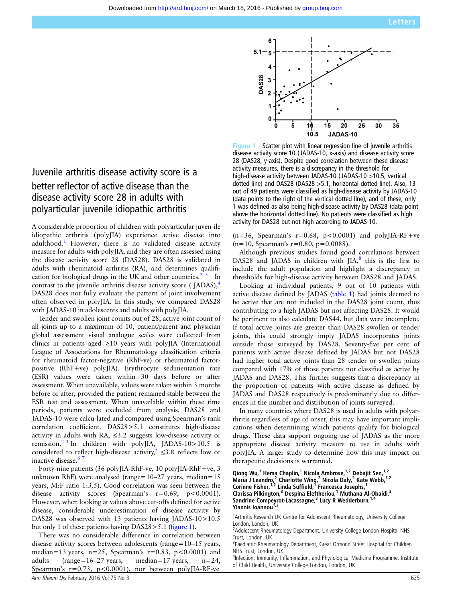

Juvenile arthritis disease activity score is a better reflector of active disease than the disease activity score 28 in adults with polyarticular juvenile idiopathic arthritis

A considerable proportion of children with polyarticular juven-ile idiopathic arthritis (polyJIA) experience active disease into adulthood.<sup>1</sup> However, there is no validated disease activity measure for adults with polyJIA, and they are often assessed using the disease activity score 28 (DAS28). DAS28 is validated in adults with rheumatoid arthritis (RA), and determines qualification for biological drugs in the UK and other countries.<sup>2</sup>  $\frac{3}{3}$  In contrast to the juvenile arthritis disease activity score (JADAS),<sup>4</sup> DAS28 does not fully evaluate the pattern of joint involvement often observed in polyJIA. In this study, we compared DAS28 with JADAS-10 in adolescents and adults with polyJIA.

Tender and swollen joint counts out of 28, active joint count of all joints up to a maximum of 10, patient/parent and physician global assessment visual analogue scales were collected from clinics in patients aged  $\geq 10$  years with polyJIA (International League of Associations for Rheumatology classification criteria for rheumatoid factor-negative (RhF-ve) or rheumatoid factorpositive (RhF+ve) polyJIA). Erythrocyte sedimentation rate (ESR) values were taken within 30 days before or after assessment. When unavailable, values were taken within 3 months before or after, provided the patient remained stable between the ESR test and assessment. When unavailable within these time periods, patients were excluded from analysis. DAS28 and JADAS-10 were calcu-lated and compared using Spearman's rank correlation coefficient. DAS28>5.1 constitutes high-disease activity in adults with RA, ≤3.2 suggests low-disease activity or remission.<sup>2 3</sup> In children with polyJIA, JADAS-10>10.5 is considered to reflect high-disease activity,  $\leq$  3.8 reflects low or inactive disease.<sup>67</sup>

Forty-nine patients (36 polyJIA-RhF-ve, 10 polyJIA-RhF+ve, 3 unknown RhF) were analysed (range=10–27 years, median=15 years, M:F ratio 1:3.5). Good correlation was seen between the disease activity scores (Spearman's  $r=0.69$ ,  $p<0.0001$ ). However, when looking at values above cut-offs defined for active disease, considerable underestimation of disease activity by DAS28 was observed with 13 patients having JADAS-10>10.5 but only 1 of these patients having DAS28>5.1 (figure 1).

There was no considerable difference in correlation between disease activity scores between adolescents (range=10–15 years, median=13 years, n=25, Spearman's  $r=0.83$ ,  $p<0.0001$ ) and adults (range=16–27 years, median=17 years, n=24, Spearman's  $r=0.73$ ,  $p<0.0001$ ), nor between polyJIA-RF-ve

Figure 1 Scatter plot with linear regression line of juvenile arthritis disease activity score 10 ( JADAS-10, x-axis) and disease activity score 28 (DAS28, y-axis). Despite good correlation between these disease activity measures, there is a discrepancy in the threshold for high-disease activity between JADAS-10 (JADAS-10 >10.5, vertical dotted line) and DAS28 (DAS28 >5.1, horizontal dotted line). Also, 13 out of 49 patients were classified as high-disease activity by JADAS-10 (data points to the right of the vertical dotted line), and of these, only 1 was defined as also being high-disease activity by DAS28 (data point above the horizontal dotted line). No patients were classified as high activity for DAS28 but not high according to JADAS-10.

 $(n=36,$  Spearman's  $r=0.68, p<0.0001$  and polyJIA-RF+ve  $(n=10,$  Spearman's  $r=0.80, p=0.0088$ ).

Although previous studies found good correlations between DAS28 and JADAS in children with  $IIA$ ,<sup>8</sup> this is the first to include the adult population and highlight a discrepancy in thresholds for high-disease activity between DAS28 and JADAS.

Looking at individual patients, 9 out of 10 patients with active disease defined by JADAS (table 1) had joints deemed to be active that are not included in the DAS28 joint count, thus contributing to a high JADAS but not affecting DAS28. It would be pertinent to also calculate DAS44, but data were incomplete. If total active joints are greater than DAS28 swollen or tender joints, this could strongly imply JADAS incorporates joints outside those surveyed by DAS28. Seventy-five per cent of patients with active disease defined by JADAS but not DAS28 had higher total active joints than 28 tender or swollen joints compared with 17% of those patients not classified as active by JADAS and DAS28. This further suggests that a discrepancy in the proportion of patients with active disease as defined by JADAS and DAS28 respectively is predominantly due to differences in the number and distribution of joints surveyed.

In many countries where DAS28 is used in adults with polyarthritis regardless of age of onset, this may have important implications when determining which patients qualify for biological drugs. These data support ongoing use of JADAS as the more appropriate disease activity measure to use in adults with polyJIA. A larger study to determine how this may impact on therapeutic decisions is warranted.

```
Qiong Wu,<sup>1</sup> Hema Chaplin,<sup>1</sup> Nicola Ambrose,<sup>1,2</sup> Debajit Sen,<sup>1,2</sup>
Maria J Leandro,<sup>2</sup> Charlotte Wing,<sup>2</sup> Nicola Daly,<sup>2</sup> Kate Webb,<sup>1,2</sup>
Corinne Fisher,<sup>1,2</sup> Linda Suffield,<sup>1</sup> Francesca Josephs,<sup>1</sup>
Clarissa Pilkington,<sup>3</sup> Despina Eleftheriou,<sup>1</sup> Muthana Al-Obaidi,<sup>3</sup>
Sandrine Compeyrot-Lacassagne,<sup>3</sup> Lucy R Wedderburn,<sup>1,4</sup>
Yiannis Ioannou<sup>1</sup>
```
<sup>1</sup> Arthritis Research UK Centre for Adolescent Rheumatology, University College London, London, UK

<sup>2</sup>Adolescent Rheumatology Department, University College London Hospital NHS Trust, London, UK

<sup>3</sup>Paediatric Rheumatology Department, Great Ormond Street Hospital for Children NHS Trust, London, UK

<sup>4</sup>Infection, Immunity, Inflammation, and Physiological Medicine Programme, Institute of Child Health, University College London, London, UK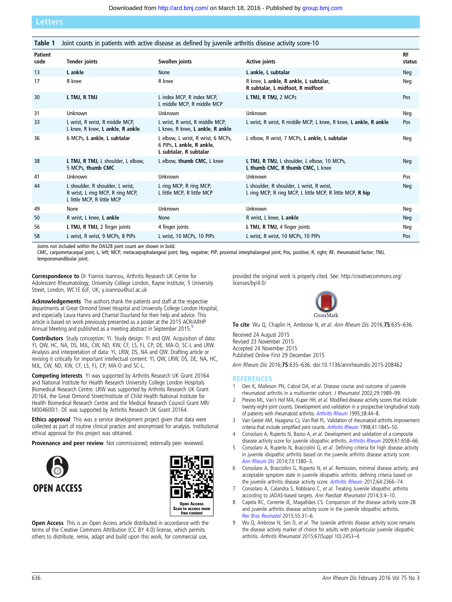Letters

| Table 1         | Joint counts in patients with active disease as defined by juvenile arthritis disease activity score-10 |                                                                                           |                                                                                                        |                     |
|-----------------|---------------------------------------------------------------------------------------------------------|-------------------------------------------------------------------------------------------|--------------------------------------------------------------------------------------------------------|---------------------|
| Patient<br>code | <b>Tender joints</b>                                                                                    | Swollen joints                                                                            | <b>Active joints</b>                                                                                   | <b>RF</b><br>status |
| 13              | L ankle                                                                                                 | None                                                                                      | L ankle, L subtalar                                                                                    | Neg                 |
| 17              | R knee                                                                                                  | R knee                                                                                    | R knee, L ankle, R ankle, L subtalar,<br>R subtalar, L midfoot, R midfoot                              | Neg                 |
| 30              | L TMJ, R TMJ                                                                                            | L index MCP, R index MCP,<br>L middle MCP, R middle MCP                                   | L TMJ, R TMJ, 2 MCPs                                                                                   | Pos                 |
| 31              | Unknown                                                                                                 | Unknown                                                                                   | Unknown                                                                                                | Neg                 |
| 33              | L wrist, R wrist, R middle MCP,<br>L knee, R knee, L ankle, R ankle                                     | L wrist, R wrist, R middle MCP,<br>L knee, R knee, L ankle, R ankle                       | L wrist, R wrist, R middle MCP, L knee, R knee, L ankle, R ankle                                       | Pos                 |
| 36              | 6 MCPs, L ankle, L subtalar                                                                             | L elbow, L wrist, R wrist, 6 MCPs,<br>6 PIPs, L ankle, R ankle,<br>L subtalar, R subtalar | L elbow, R wrist, 7 MCPs, L ankle, L subtalar                                                          | Neg                 |
| 38              | L TMJ, R TMJ, L shoulder, L elbow,<br>5 MCPs, thumb CMC                                                 | L elbow, thumb CMC, L knee                                                                | L TMJ, R TMJ, L shoulder, L elbow, 10 MCPs,<br>L thumb CMC, R thumb CMC, L knee                        | Neg                 |
| 41              | Unknown                                                                                                 | <b>Unknown</b>                                                                            | Unknown                                                                                                | Pos                 |
| 44              | L shoulder, R shoulder, L wrist,<br>R wrist, L ring MCP, R ring MCP,<br>L little MCP, R little MCP      | L ring MCP, R ring MCP,<br>L little MCP, R little MCP                                     | L shoulder, R shoulder, L wrist, R wrist,<br>L ring MCP, R ring MCP, L little MCP, R little MCP, R hip | Neg                 |
| 49              | None                                                                                                    | Unknown                                                                                   | Unknown                                                                                                | Neg                 |
| 50              | R wrist, L knee, L ankle                                                                                | None                                                                                      | R wrist, L knee, L ankle                                                                               | Neg                 |
| 56              | L TMJ, R TMJ, 2 finger joints                                                                           | 4 finger joints                                                                           | L TMJ, R TMJ, 4 finger joints                                                                          | Neg                 |
| 58              | L wrist, R wrist, 9 MCPs, 8 PIPs                                                                        | L wrist, 10 MCPs, 10 PIPs                                                                 | L wrist, R wrist, 10 MCPs, 10 PIPs                                                                     | Pos                 |

Joints not included within the DAS28 joint count are shown in bold.

CMC, carpometacarpal joint; L, left; MCP, metacarpophalangeal joint; Neg, negative; PIP, proximal interphalangeal joint; Pos, positive; R, right; RF, rheumatoid factor; TMJ, temporomandibular joint.

Correspondence to Dr Yiannis Ioannou, Arthritis Research UK Centre for Adolescent Rheumatology, University College London, Rayne Institute, 5 University Street, London, WC1E 6JF, UK; y.ioannou@ucl.ac.uk

Acknowledgements The authors thank the patients and staff at the respective departments at Great Ormond Street Hospital and University College London Hospital, and especially Laura Hanns and Chantal Duurland for their help and advice. This article is based on work previously presented as a poster at the 2015 ACR/ARHP Annual Meeting and published as a meeting abstract in September 2015.

Contributors Study conception: YI. Study design: YI and QW. Acquisition of data: YI, QW, HC, NA, DS, MJL, CW, ND, KW, CF, LS, FJ, CP, DE, MA-O, SC-L and LRW. Analysis and interpretation of data: YI, LRW, DS, NA and QW. Drafting article or revising it critically for important intellectual content: YI, QW, LRW, DS, DE, NA, HC, MJL, CW, ND, KW, CF, LS, FJ, CP, MA-O and SC-L.

Competing interests YI was supported by Arthritis Research UK Grant 20164 and National Institute for Health Research University College London Hospitals Biomedical Research Centre. LRW was supported by Arthritis Research UK Grant 20164, the Great Ormond Street/Institute of Child Health National Institute for Health Biomedical Research Centre and the Medical Research Council Grant MR/ M004600/1. DE was supported by Arthritis Research UK Grant 20164.

Ethics approval This was a service development project given that data were collected as part of routine clinical practice and anonymised for analysis. Institutional ethical approval for this project was obtained.

Provenance and peer review Not commissioned; externally peer reviewed.





**Open Access** This is an Open Access article distributed in accordance with the terms of the Creative Commons Attribution (CC BY 4.0) license, which permits others to distribute, remix, adapt and build upon this work, for commercial use,

provided the original work is properly cited. See: [http://creativecommons.org/](http://creativecommons.org/licenses/by/4.0/) [licenses/by/4.0/](http://creativecommons.org/licenses/by/4.0/)



To cite Wu Q, Chaplin H, Ambrose N, et al. Ann Rheum Dis 2016;75:635–636.

Received 24 August 2015 Revised 23 November 2015 Accepted 24 November 2015 Published Online First 29 December 2015

Ann Rheum Dis 2016;75:635–636. doi:10.1136/annrheumdis-2015-208462

## **REFERENCES**

- 1 Oen K, Malleson PN, Cabral DA, et al. Disease course and outcome of juvenile rheumatoid arthritis in a multicenter cohort. J Rheumatol 2002;29:1989–99.
- 2 Prevoo ML, Van't Hof MA, Kuper HH, et al. Modified disease activity scores that include twenty-eight-joint counts. Development and validation in a prospective longitudinal study of patients with rheumatoid arthritis. [Arthritis Rheum](http://dx.doi.org/10.1002/art.1780380107) 1995;38:44–8.
- 3 Van Gestel AM, Haagsma CJ, Van Riel PL. Validation of rheumatoid arthritis improvement criteria that include simplified joint counts. [Arthritis Rheum](http://dx.doi.org/10.1002/1529-0131(199810)41:10<1845::AID-ART17>3.0.CO;2-K) 1998;41:1845–50.
- 4 Consolaro A, Ruperto N, Bazso A, et al. Development and validation of a composite disease activity score for juvenile idiopathic arthritis. [Arthritis Rheum](http://dx.doi.org/10.1002/art.24516) 2009;61:658-66.
- 5 Consolaro A, Ruperto N, Bracciolini G, et al. Defining criteria for high disease activity in juvenile idiopathic arthritis based on the juvenile arthritis disease activity score. [Ann Rheum Dis](http://dx.doi.org/10.1136/annrheumdis-2013-204186) 2014;73:1380–3.
- 6 Consolaro A, Bracciolini G, Ruperto N, et al. Remission, minimal disease activity, and acceptable symptom state in juvenile idiopathic arthritis: defining criteria based on the juvenile arthritis disease activity score. [Arthritis Rheum](http://dx.doi.org/10.1002/art.34373) 2012;64:2366-74.
- 7 Consolaro A, Calandra S, Robbiano C, et al. Treating Juvenile idiopathic arthritis according to JADAS-based targets. Ann Paediatr Rheumatol 2014;3:4–10.
- 8 Capela RC, Corrente JE, Magalhães CS. Comparison of the disease activity score-28 and juvenile arthritis disease activity score in the juvenile idiopathic arthritis. [Rev Bras Reumatol](http://dx.doi.org/10.1016/j.rbr.2014.08.010) 2015;55:31–6.
- 9 Wu Q, Ambrose N, Sen D, et al. The Juvenile arthritis disease activity score remains the disease activity marker of choice for adults with polyarticular juvenile idiopathic arthritis. Arthritis Rheumatol 2015;67(Suppl 10):2453–4.